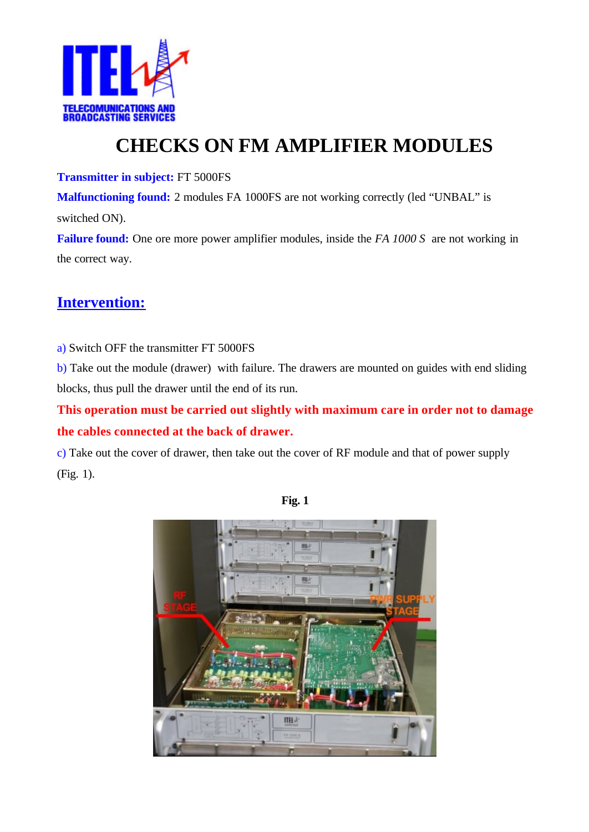

## **CHECKS ON FM AMPLIFIER MODULES**

**Transmitter in subject:** FT 5000FS

**Malfunctioning found:** 2 modules FA 1000FS are not working correctly (led "UNBAL" is switched ON).

**Failure found:** One ore more power amplifier modules, inside the *FA 1000 S* are not working in the correct way.

## **Intervention:**

a) Switch OFF the transmitter FT 5000FS

b) Take out the module (drawer) with failure. The drawers are mounted on guides with end sliding blocks, thus pull the drawer until the end of its run.

**This operation must be carried out slightly with maximum care in order not to damage the cables connected at the back of drawer.** 

c) Take out the cover of drawer, then take out the cover of RF module and that of power supply (Fig. 1).



**Fig. 1**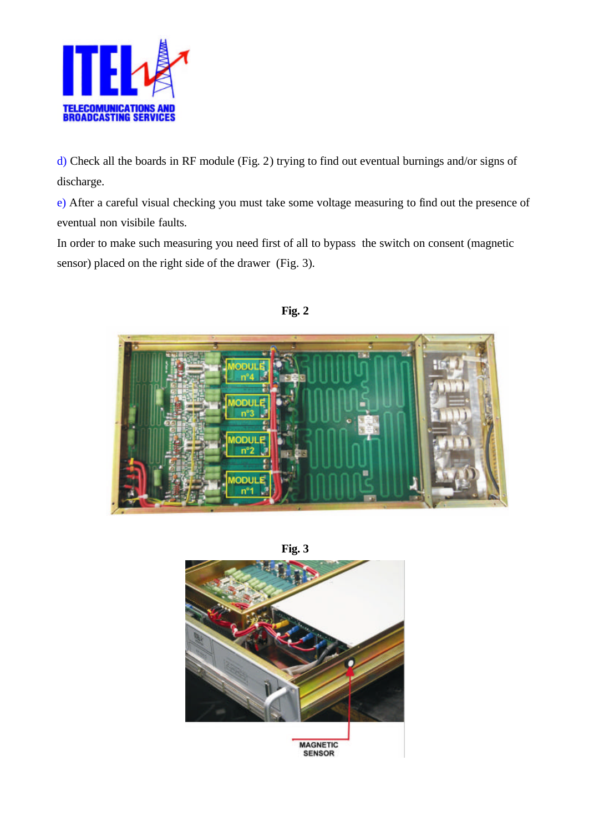

d) Check all the boards in RF module (Fig. 2) trying to find out eventual burnings and/or signs of discharge.

e) After a careful visual checking you must take some voltage measuring to find out the presence of eventual non visibile faults.

In order to make such measuring you need first of all to bypass the switch on consent (magnetic sensor) placed on the right side of the drawer (Fig. 3).



**Fig. 2**

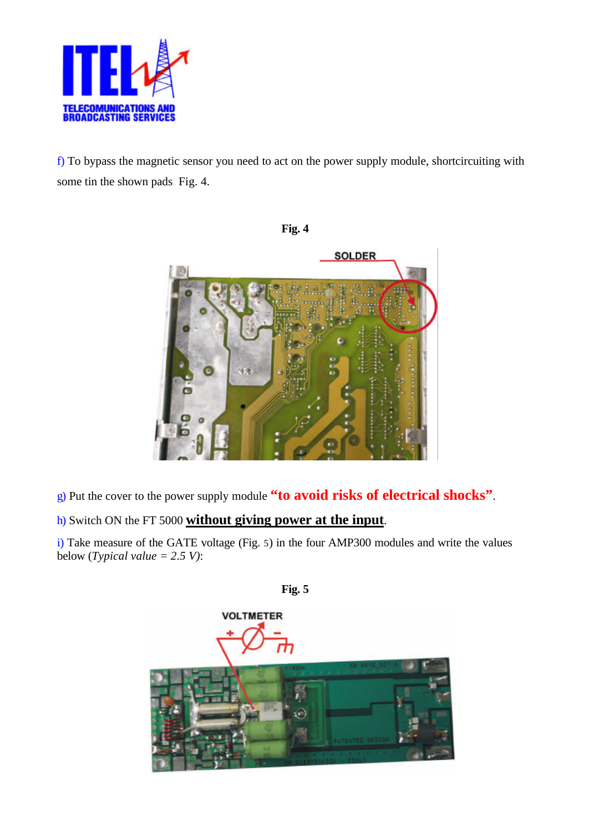

f) To bypass the magnetic sensor you need to act on the power supply module, shortcircuiting with some tin the shown pads Fig. 4.



g) Put the cover to the power supply module **"to avoid risks of electrical shocks"**.

## h) Switch ON the FT 5000 **without giving power at the input**.

i) Take measure of the GATE voltage (Fig. 5) in the four AMP300 modules and write the values below (*Typical value = 2.5 V)*:



**Fig. 5**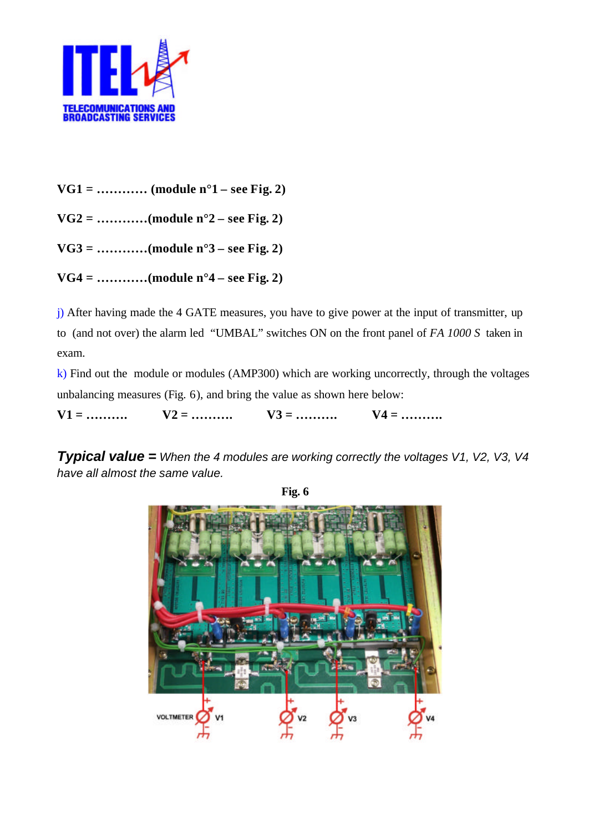

- **VG1 = ………… (module n°1 see Fig. 2)**
- **VG2 = …………(module n°2 see Fig. 2)**
- **VG3 = …………(module n°3 see Fig. 2)**
- **VG4 = …………(module n°4 see Fig. 2)**

j) After having made the 4 GATE measures, you have to give power at the input of transmitter, up to (and not over) the alarm led "UMBAL" switches ON on the front panel of *FA 1000 S* taken in exam.

 $k$ ) Find out the module or modules (AMP300) which are working uncorrectly, through the voltages unbalancing measures (Fig. 6), and bring the value as shown here below:

**V1 = ………. V2 = ………. V3 = ………. V4 = ……….**

*Typical value = When the 4 modules are working correctly the voltages V1, V2, V3, V4 have all almost the same value.*



**Fig. 6**